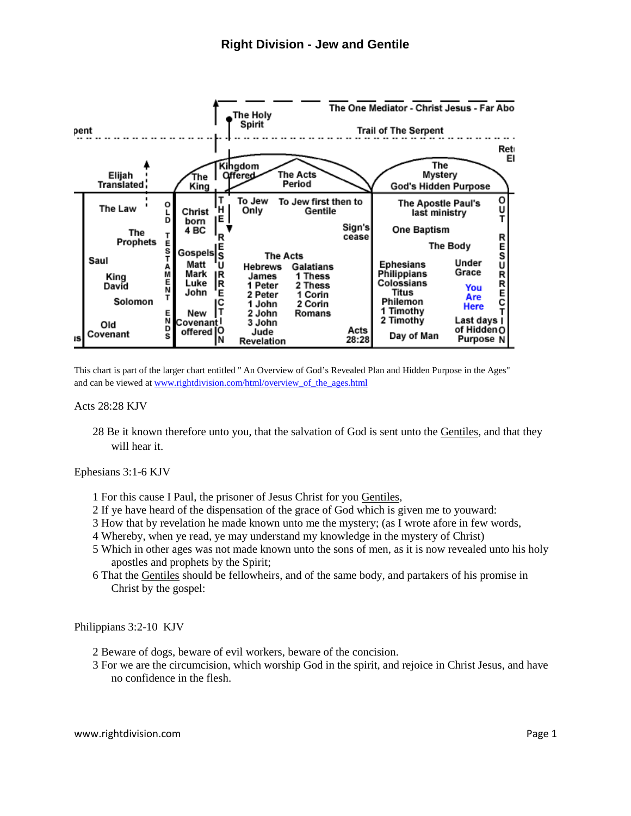

This chart is part of the larger chart entitled " An Overview of God's Revealed Plan and Hidden Purpose in the Ages" and can be viewed a[t www.rightdivision.com/html/overview\\_of\\_the\\_ages.html](http://www.rightdivision.com/html/overview_of_the_ages.html)

Acts 28:28 KJV

28 Be it known therefore unto you, that the salvation of God is sent unto the Gentiles, and that they will hear it.

Ephesians 3:1-6 KJV

- 1 For this cause I Paul, the prisoner of Jesus Christ for you Gentiles,
- 2 If ye have heard of the dispensation of the grace of God which is given me to youward:
- 3 How that by revelation he made known unto me the mystery; (as I wrote afore in few words,
- 4 Whereby, when ye read, ye may understand my knowledge in the mystery of Christ)
- 5 Which in other ages was not made known unto the sons of men, as it is now revealed unto his holy apostles and prophets by the Spirit;
- 6 That the Gentiles should be fellowheirs, and of the same body, and partakers of his promise in Christ by the gospel:

Philippians 3:2-10 KJV

- 2 Beware of dogs, beware of evil workers, beware of the concision.
- 3 For we are the circumcision, which worship God in the spirit, and rejoice in Christ Jesus, and have no confidence in the flesh.

www.rightdivision.com **Page 1**